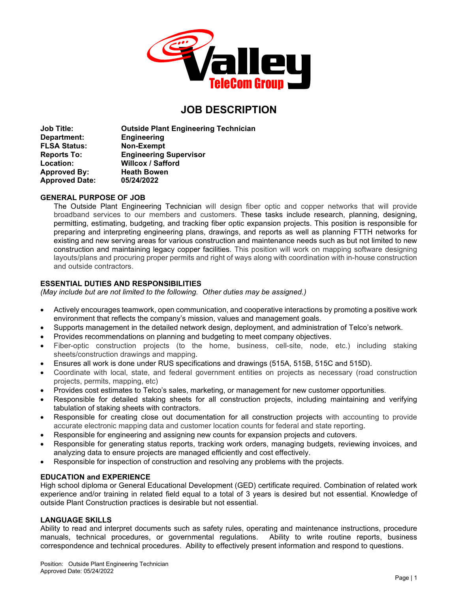

# **JOB DESCRIPTION**

**Job Title: Outside Plant Engineering Technician Department: Engineering FLSA Status: Non-Exempt Reports To: Engineering Supervisor Location: Willcox / Safford Approved By:** Heath Bow<br> **Approved Date:** 05/24/2022 **Approved Date:** 

# **GENERAL PURPOSE OF JOB**

The Outside Plant Engineering Technician will design fiber optic and copper networks that will provide broadband services to our members and customers. These tasks include research, planning, designing, permitting, estimating, budgeting, and tracking fiber optic expansion projects. This position is responsible for preparing and interpreting engineering plans, drawings, and reports as well as planning FTTH networks for existing and new serving areas for various construction and maintenance needs such as but not limited to new construction and maintaining legacy copper facilities. This position will work on mapping software designing layouts/plans and procuring proper permits and right of ways along with coordination with in-house construction and outside contractors.

# **ESSENTIAL DUTIES AND RESPONSIBILITIES**

*(May include but are not limited to the following. Other duties may be assigned.)*

- Actively encourages teamwork, open communication, and cooperative interactions by promoting a positive work environment that reflects the company's mission, values and management goals.
- Supports management in the detailed network design, deployment, and administration of Telco's network.
- Provides recommendations on planning and budgeting to meet company objectives.
- Fiber-optic construction projects (to the home, business, cell-site, node, etc.) including staking sheets/construction drawings and mapping.
- Ensures all work is done under RUS specifications and drawings (515A, 515B, 515C and 515D).
- Coordinate with local, state, and federal government entities on projects as necessary (road construction projects, permits, mapping, etc)
- Provides cost estimates to Telco's sales, marketing, or management for new customer opportunities.
- Responsible for detailed staking sheets for all construction projects, including maintaining and verifying tabulation of staking sheets with contractors.
- Responsible for creating close out documentation for all construction projects with accounting to provide accurate electronic mapping data and customer location counts for federal and state reporting.
- Responsible for engineering and assigning new counts for expansion projects and cutovers.
- Responsible for generating status reports, tracking work orders, managing budgets, reviewing invoices, and analyzing data to ensure projects are managed efficiently and cost effectively.
- Responsible for inspection of construction and resolving any problems with the projects.

## **EDUCATION and EXPERIENCE**

High school diploma or General Educational Development (GED) certificate required. Combination of related work experience and/or training in related field equal to a total of 3 years is desired but not essential. Knowledge of outside Plant Construction practices is desirable but not essential.

## **LANGUAGE SKILLS**

Ability to read and interpret documents such as safety rules, operating and maintenance instructions, procedure manuals, technical procedures, or governmental regulations. Ability to write routine reports, business correspondence and technical procedures. Ability to effectively present information and respond to questions.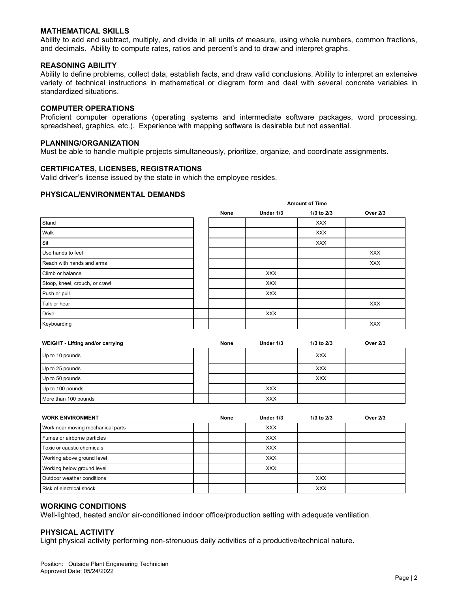## **MATHEMATICAL SKILLS**

Ability to add and subtract, multiply, and divide in all units of measure, using whole numbers, common fractions, and decimals. Ability to compute rates, ratios and percent's and to draw and interpret graphs.

## **REASONING ABILITY**

Ability to define problems, collect data, establish facts, and draw valid conclusions. Ability to interpret an extensive variety of technical instructions in mathematical or diagram form and deal with several concrete variables in standardized situations.

#### **COMPUTER OPERATIONS**

Proficient computer operations (operating systems and intermediate software packages, word processing, spreadsheet, graphics, etc.). Experience with mapping software is desirable but not essential.

**Amount of Time**

#### **PLANNING/ORGANIZATION**

Must be able to handle multiple projects simultaneously, prioritize, organize, and coordinate assignments.

## **CERTIFICATES, LICENSES, REGISTRATIONS**

Valid driver's license issued by the state in which the employee resides.

## **PHYSICAL/ENVIRONMENTAL DEMANDS**

|                                | <b>AIROUR OF FIRE</b> |            |            |                 |  |
|--------------------------------|-----------------------|------------|------------|-----------------|--|
|                                | None                  | Under 1/3  | 1/3 to 2/3 | <b>Over 2/3</b> |  |
| Stand                          |                       |            | <b>XXX</b> |                 |  |
| Walk                           |                       |            | <b>XXX</b> |                 |  |
| Sit                            |                       |            | <b>XXX</b> |                 |  |
| Use hands to feel              |                       |            |            | <b>XXX</b>      |  |
| Reach with hands and arms      |                       |            |            | <b>XXX</b>      |  |
| Climb or balance               |                       | <b>XXX</b> |            |                 |  |
| Stoop, kneel, crouch, or crawl |                       | <b>XXX</b> |            |                 |  |
| Push or pull                   |                       | <b>XXX</b> |            |                 |  |
| Talk or hear                   |                       |            |            | <b>XXX</b>      |  |
| <b>Drive</b>                   |                       | <b>XXX</b> |            |                 |  |
| Keyboarding                    |                       |            |            | <b>XXX</b>      |  |

| WEIGHT - Lifting and/or carrying | None | Under 1/3  | $1/3$ to $2/3$ | Over 2/3 |
|----------------------------------|------|------------|----------------|----------|
| Up to 10 pounds                  |      |            | <b>XXX</b>     |          |
| Up to 25 pounds                  |      |            | <b>XXX</b>     |          |
| Up to 50 pounds                  |      |            | <b>XXX</b>     |          |
| Up to 100 pounds                 |      | <b>XXX</b> |                |          |
| More than 100 pounds             |      | <b>XXX</b> |                |          |

| <b>WORK ENVIRONMENT</b>           | None | Under 1/3  | $1/3$ to $2/3$ | <b>Over 2/3</b> |
|-----------------------------------|------|------------|----------------|-----------------|
| Work near moving mechanical parts |      | <b>XXX</b> |                |                 |
| Fumes or airborne particles       |      | <b>XXX</b> |                |                 |
| Toxic or caustic chemicals        |      | <b>XXX</b> |                |                 |
| Working above ground level        |      | <b>XXX</b> |                |                 |
| Working below ground level        |      | <b>XXX</b> |                |                 |
| Outdoor weather conditions        |      |            | <b>XXX</b>     |                 |
| Risk of electrical shock          |      |            | <b>XXX</b>     |                 |

## **WORKING CONDITIONS**

Well-lighted, heated and/or air-conditioned indoor office/production setting with adequate ventilation.

## **PHYSICAL ACTIVITY**

Light physical activity performing non-strenuous daily activities of a productive/technical nature.